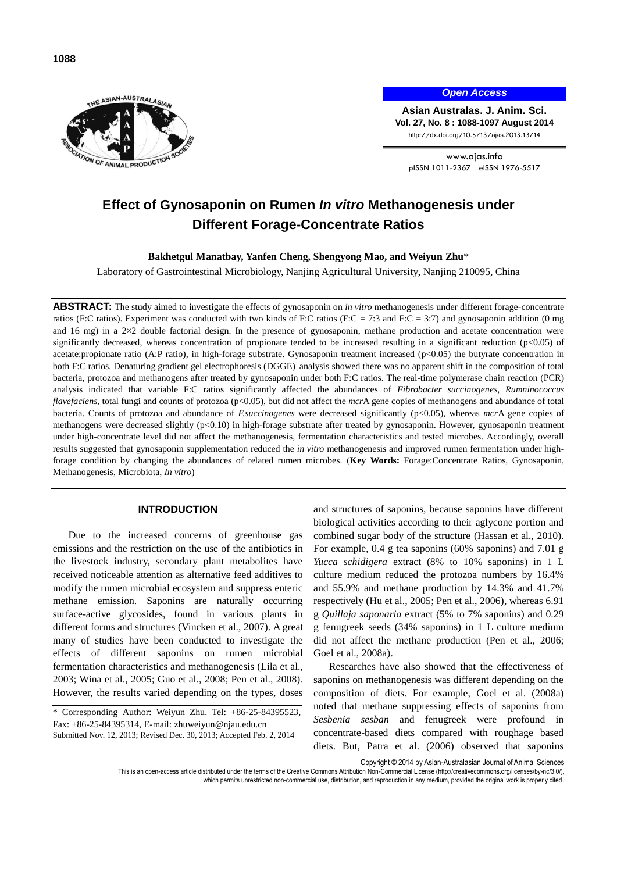

*Open Access*

**Asian Australas. J. Anim. Sci. Vol. 27, No. 8 : 1088-1097 August 2014** http://dx.doi.org/10.5713/ajas.2013.13714

www.ajas.info pISSN 1011-2367 eISSN 1976-5517

# **Effect of Gynosaponin on Rumen** *In vitro* **Methanogenesis under Different Forage-Concentrate Ratios**

**Bakhetgul Manatbay, Yanfen Cheng, Shengyong Mao, and Weiyun Zhu**\*

Laboratory of Gastrointestinal Microbiology, Nanjing Agricultural University, Nanjing 210095, China

**ABSTRACT:** The study aimed to investigate the effects of gynosaponin on *in vitro* methanogenesis under different forage-concentrate ratios (F:C ratios). Experiment was conducted with two kinds of F:C ratios (F:C = 7:3 and F:C = 3:7) and gynosaponin addition (0 mg and 16 mg) in a 2×2 double factorial design. In the presence of gynosaponin, methane production and acetate concentration were significantly decreased, whereas concentration of propionate tended to be increased resulting in a significant reduction (p<0.05) of acetate:propionate ratio (A:P ratio), in high-forage substrate. Gynosaponin treatment increased (p<0.05) the butyrate concentration in both F:C ratios. Denaturing gradient gel electrophoresis (DGGE) analysis showed there was no apparent shift in the composition of total bacteria, protozoa and methanogens after treated by gynosaponin under both F:C ratios. The real-time polymerase chain reaction (PCR) analysis indicated that variable F:C ratios significantly affected the abundances of *Fibrobacter succinogenes*, *Rumninococcus flavefaciens*, total fungi and counts of protozoa (p<0.05), but did not affect the *mcr*A gene copies of methanogens and abundance of total bacteria. Counts of protozoa and abundance of *F.succinogenes* were decreased significantly (p<0.05), whereas *mcr*A gene copies of methanogens were decreased slightly (p<0.10) in high-forage substrate after treated by gynosaponin. However, gynosaponin treatment under high-concentrate level did not affect the methanogenesis, fermentation characteristics and tested microbes. Accordingly, overall results suggested that gynosaponin supplementation reduced the *in vitro* methanogenesis and improved rumen fermentation under highforage condition by changing the abundances of related rumen microbes. (**Key Words:** Forage:Concentrate Ratios, Gynosaponin, Methanogenesis, Microbiota, *In vitro*)

# **INTRODUCTION**

Due to the increased concerns of greenhouse gas emissions and the restriction on the use of the antibiotics in the livestock industry, secondary plant metabolites have received noticeable attention as alternative feed additives to modify the rumen microbial ecosystem and suppress enteric methane emission. Saponins are naturally occurring surface-active glycosides, found in various plants in different forms and structures (Vincken et al., 2007). A great many of studies have been conducted to investigate the effects of different saponins on rumen microbial fermentation characteristics and methanogenesis (Lila et al., 2003; Wina et al., 2005; Guo et al., 2008; Pen et al., 2008). However, the results varied depending on the types, doses and structures of saponins, because saponins have different biological activities according to their aglycone portion and combined sugar body of the structure (Hassan et al., 2010). For example, 0.4 g tea saponins (60% saponins) and 7.01 g *Yucca schidigera* extract (8% to 10% saponins) in 1 L culture medium reduced the protozoa numbers by 16.4% and 55.9% and methane production by 14.3% and 41.7% respectively (Hu et al., 2005; Pen et al., 2006), whereas 6.91 g *Quillaja saponaria* extract (5% to 7% saponins) and 0.29 g fenugreek seeds (34% saponins) in 1 L culture medium did not affect the methane production (Pen et al., 2006; Goel et al., 2008a).

Researches have also showed that the effectiveness of saponins on methanogenesis was different depending on the composition of diets. For example, Goel et al. (2008a) noted that methane suppressing effects of saponins from *Sesbenia sesban* and fenugreek were profound in concentrate-based diets compared with roughage based diets. But, Patra et al. (2006) observed that saponins

Copyright © 2014 by Asian-Australasian Journal of Animal Sciences

This is an open-access article distributed under the terms of the Creative Commons Attribution Non-Commercial License [\(http://creativecommons.org/licenses/by-nc/3.0/\),](http://creativecommons.org/licenses/by-nc/3.0/) which permits unrestricted non-commercial use, distribution, and reproduction in any medium, provided the original work is properly cited

<sup>\*</sup> Corresponding Author: Weiyun Zhu. Tel: +86-25-84395523, Fax: +86-25-84395314, E-mail: [zhuweiyun@njau.edu.cn](mailto:zhuweiyun@njau.edu.cn) Submitted Nov. 12, 2013; Revised Dec. 30, 2013; Accepted Feb. 2, 2014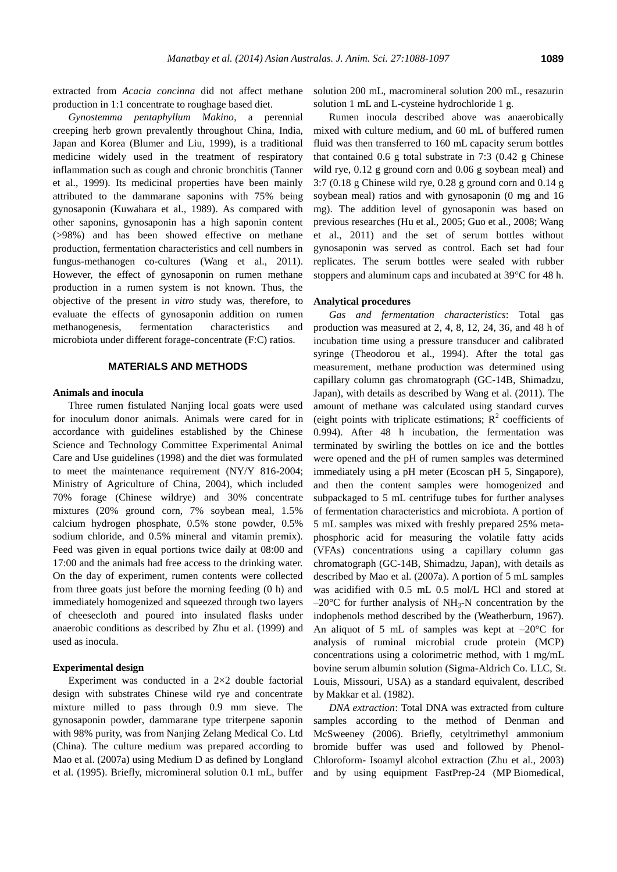extracted from *Acacia concinna* did not affect methane production in 1:1 concentrate to roughage based diet.

*Gynostemma pentaphyllum Makino*, a perennial creeping herb grown prevalently throughout China, India, Japan and Korea (Blumer and Liu, 1999), is a traditional medicine widely used in the treatment of respiratory inflammation such as cough and chronic bronchitis (Tanner et al., 1999). Its medicinal properties have been mainly attributed to the dammarane saponins with 75% being gynosaponin (Kuwahara et al., 1989). As compared with other saponins, gynosaponin has a high saponin content (>98%) and has been showed effective on methane production, fermentation characteristics and cell numbers in fungus-methanogen co-cultures (Wang et al., 2011). However, the effect of gynosaponin on rumen methane production in a rumen system is not known. Thus, the objective of the present i*n vitro* study was, therefore, to evaluate the effects of gynosaponin addition on rumen methanogenesis, fermentation characteristics and microbiota under different forage-concentrate (F:C) ratios.

### **MATERIALS AND METHODS**

# **Animals and inocula**

Three rumen fistulated Nanjing local goats were used for inoculum donor animals. Animals were cared for in accordance with guidelines established by the Chinese Science and Technology Committee Experimental Animal Care and Use guidelines (1998) and the diet was formulated to meet the maintenance requirement (NY/Y 816-2004; Ministry of Agriculture of China, 2004), which included 70% forage (Chinese wildrye) and 30% concentrate mixtures (20% ground corn, 7% soybean meal, 1.5% calcium hydrogen phosphate, 0.5% stone powder, 0.5% sodium chloride, and 0.5% mineral and vitamin premix). Feed was given in equal portions twice daily at 08:00 and 17:00 and the animals had free access to the drinking water. On the day of experiment, rumen contents were collected from three goats just before the morning feeding (0 h) and immediately homogenized and squeezed through two layers of cheesecloth and poured into insulated flasks under anaerobic conditions as described by Zhu et al. (1999) and used as inocula.

## **Experimental design**

Experiment was conducted in a 2×2 double factorial design with substrates Chinese wild rye and concentrate mixture milled to pass through 0.9 mm sieve. The gynosaponin powder, dammarane type triterpene saponin with 98% purity, was from Nanjing Zelang Medical Co. Ltd (China). The culture medium was prepared according to Mao et al. (2007a) using Medium D as defined by Longland et al. (1995). Briefly, micromineral solution 0.1 mL, buffer solution 200 mL, macromineral solution 200 mL, resazurin solution 1 mL and L-cysteine hydrochloride 1 g.

Rumen inocula described above was anaerobically mixed with culture medium, and 60 mL of buffered rumen fluid was then transferred to 160 mL capacity serum bottles that contained 0.6 g total substrate in 7:3 (0.42 g Chinese wild rye, 0.12 g ground corn and 0.06 g soybean meal) and 3:7 (0.18 g Chinese wild rye, 0.28 g ground corn and 0.14 g soybean meal) ratios and with gynosaponin (0 mg and 16 mg). The addition level of gynosaponin was based on previous researches (Hu et al., 2005; Guo et al., 2008; Wang et al., 2011) and the set of serum bottles without gynosaponin was served as control. Each set had four replicates. The serum bottles were sealed with rubber stoppers and aluminum caps and incubated at 39°C for 48 h.

## **Analytical procedures**

*Gas and fermentation characteristics*: Total gas production was measured at 2, 4, 8, 12, 24, 36, and 48 h of incubation time using a pressure transducer and calibrated syringe (Theodorou et al., 1994). After the total gas measurement, methane production was determined using capillary column gas chromatograph (GC-14B, Shimadzu, Japan), with details as described by Wang et al. (2011). The amount of methane was calculated using standard curves (eight points with triplicate estimations;  $R^2$  coefficients of 0.994). After 48 h incubation, the fermentation was terminated by swirling the bottles on ice and the bottles were opened and the pH of rumen samples was determined immediately using a pH meter (Ecoscan pH 5, Singapore), and then the content samples were homogenized and subpackaged to 5 mL centrifuge tubes for further analyses of fermentation characteristics and microbiota. A portion of 5 mL samples was mixed with freshly prepared 25% metaphosphoric acid for measuring the volatile fatty acids (VFAs) concentrations using a capillary column gas chromatograph (GC-14B, Shimadzu, Japan), with details as described by Mao et al. (2007a). A portion of 5 mL samples was acidified with 0.5 mL 0.5 mol/L HCl and stored at  $-20^{\circ}$ C for further analysis of NH<sub>3</sub>-N concentration by the indophenols method described by the (Weatherburn, 1967). An aliquot of 5 mL of samples was kept at  $-20^{\circ}$ C for analysis of ruminal microbial crude protein (MCP) concentrations using a colorimetric method, with 1 mg/mL bovine serum albumin solution (Sigma-Aldrich Co. LLC, St. Louis, Missouri, USA) as a standard equivalent, described by Makkar et al. (1982).

*DNA extraction*: Total DNA was extracted from culture samples according to the method of Denman and McSweeney (2006). Briefly, cetyltrimethyl ammonium bromide buffer was used and followed by Phenol-Chloroform- Isoamyl alcohol extraction (Zhu et al., 2003) and by using equipment FastPrep-24 (MP Biomedical,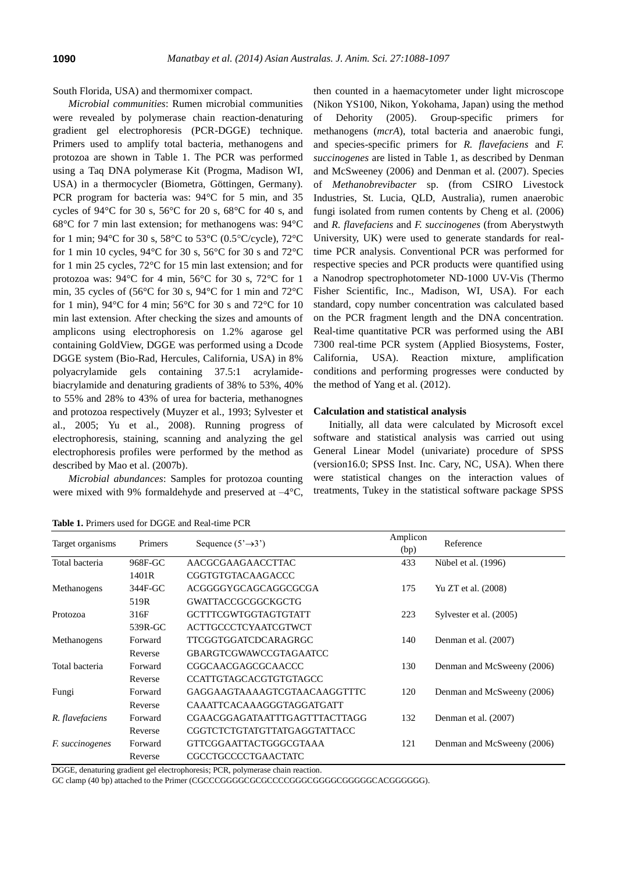#### South Florida, USA) and thermomixer compact.

*Microbial communities*: Rumen microbial communities were revealed by polymerase chain reaction-denaturing gradient gel electrophoresis (PCR-DGGE) technique. Primers used to amplify total bacteria, methanogens and protozoa are shown in Table 1. The PCR was performed using a Taq DNA polymerase Kit (Progma, Madison WI, USA) in a thermocycler (Biometra, Göttingen, Germany). PCR program for bacteria was: 94°C for 5 min, and 35 cycles of 94 $\degree$ C for 30 s, 56 $\degree$ C for 20 s, 68 $\degree$ C for 40 s, and 68°C for 7 min last extension; for methanogens was: 94°C for 1 min;  $94^{\circ}$ C for 30 s,  $58^{\circ}$ C to  $53^{\circ}$ C (0.5°C/cycle),  $72^{\circ}$ C for 1 min 10 cycles, 94°C for 30 s, 56°C for 30 s and 72°C for 1 min 25 cycles, 72°C for 15 min last extension; and for protozoa was: 94°C for 4 min, 56°C for 30 s, 72°C for 1 min, 35 cycles of (56°C for 30 s, 94°C for 1 min and 72°C for 1 min),  $94^{\circ}$ C for 4 min;  $56^{\circ}$ C for 30 s and  $72^{\circ}$ C for 10 min last extension. After checking the sizes and amounts of amplicons using electrophoresis on 1.2% agarose gel containing GoldView, DGGE was performed using a Dcode DGGE system (Bio-Rad, Hercules, California, USA) in 8% polyacrylamide gels containing 37.5:1 acrylamidebiacrylamide and denaturing gradients of 38% to 53%, 40% to 55% and 28% to 43% of urea for bacteria, methanognes and protozoa respectively (Muyzer et al., 1993; Sylvester et al., 2005; Yu et al., 2008). Running progress of electrophoresis, staining, scanning and analyzing the gel electrophoresis profiles were performed by the method as described by Mao et al. (2007b).

*Microbial abundances*: Samples for protozoa counting were mixed with 9% formaldehyde and preserved at  $-4^{\circ}C$ , then counted in a haemacytometer under light microscope (Nikon YS100, Nikon, Yokohama, Japan) using the method of Dehority (2005). Group-specific primers for methanogens (*mcrA*), total bacteria and anaerobic fungi, and species-specific primers for *R. flavefaciens* and *F. succinogenes* are listed in Table 1, as described by Denman and McSweeney (2006) and Denman et al. (2007). Species of *Methanobrevibacter* sp. (from CSIRO Livestock Industries, St. Lucia, QLD, Australia), rumen anaerobic fungi isolated from rumen contents by Cheng et al. (2006) and *R. flavefaciens* and *F. succinogenes* (from Aberystwyth University, UK) were used to generate standards for realtime PCR analysis. Conventional PCR was performed for respective species and PCR products were quantified using a Nanodrop spectrophotometer ND-1000 UV-Vis (Thermo Fisher Scientific, Inc., Madison, WI, USA). For each standard, copy number concentration was calculated based on the PCR fragment length and the DNA concentration. Real-time quantitative PCR was performed using the ABI 7300 real-time PCR system (Applied Biosystems, Foster, California, USA). Reaction mixture, amplification conditions and performing progresses were conducted by the method of Yang et al. (2012).

#### **Calculation and statistical analysis**

Initially, all data were calculated by Microsoft excel software and statistical analysis was carried out using General Linear Model (univariate) procedure of SPSS (version16.0; SPSS Inst. Inc. Cary, NC, USA). When there were statistical changes on the interaction values of treatments, Tukey in the statistical software package SPSS

| Target organisms       | Primers | Sequence $(5' \rightarrow 3')$ | Amplicon<br>(bp) | Reference                  |  |  |
|------------------------|---------|--------------------------------|------------------|----------------------------|--|--|
| Total bacteria         | 968F-GC | AACGCGAAGAACCTTAC              | 433              | Nübel et al. (1996)        |  |  |
|                        | 1401R   | <b>CGGTGTGTACAAGACCC</b>       |                  |                            |  |  |
| Methanogens            | 344F-GC | ACGGGGYGCAGCAGGCGCGA           | 175              | Yu ZT et al. (2008)        |  |  |
|                        | 519R    | <b>GWATTACCGCGGCKGCTG</b>      |                  |                            |  |  |
| Protozoa               | 316F    | <b>GCTTTCGWTGGTAGTGTATT</b>    | 223              | Sylvester et al. (2005)    |  |  |
|                        | 539R-GC | <b>ACTTGCCCTCYAATCGTWCT</b>    |                  |                            |  |  |
| Methanogens            | Forward | <b>TTCGGTGGATCDCARAGRGC</b>    | 140              | Denman et al. (2007)       |  |  |
|                        | Reverse | <b>GBARGTCGWAWCCGTAGAATCC</b>  |                  |                            |  |  |
| Total bacteria         | Forward | CGGCAACGAGCGCAACCC             | 130              | Denman and McSweeny (2006) |  |  |
|                        | Reverse | <b>CCATTGTAGCACGTGTGTAGCC</b>  |                  |                            |  |  |
| Fungi                  | Forward | GAGGAAGTAAAAGTCGTAACAAGGTTTC   | 120              | Denman and McSweeny (2006) |  |  |
|                        | Reverse | CAAATTCACAAAGGGTAGGATGATT      |                  |                            |  |  |
| R. flavefaciens        | Forward | CGAACGGAGATAATTTGAGTTTACTTAGG  | 132              | Denman et al. (2007)       |  |  |
|                        | Reverse | CGGTCTCTGTATGTTATGAGGTATTACC   |                  |                            |  |  |
| <i>F. succinogenes</i> | Forward | GTTCGGAATTACTGGGCGTAAA         | 121              | Denman and McSweeny (2006) |  |  |
|                        | Reverse | <b>CGCCTGCCCCTGAACTATC</b>     |                  |                            |  |  |

**Table 1.** Primers used for DGGE and Real-time PCR

DGGE, denaturing gradient gel electrophoresis; PCR, polymerase chain reaction.

GC clamp (40 bp) attached to the Primer (CGCCCGGGGCGCGCCCCGGGCGGGGCGGGGGCACGGGGGG).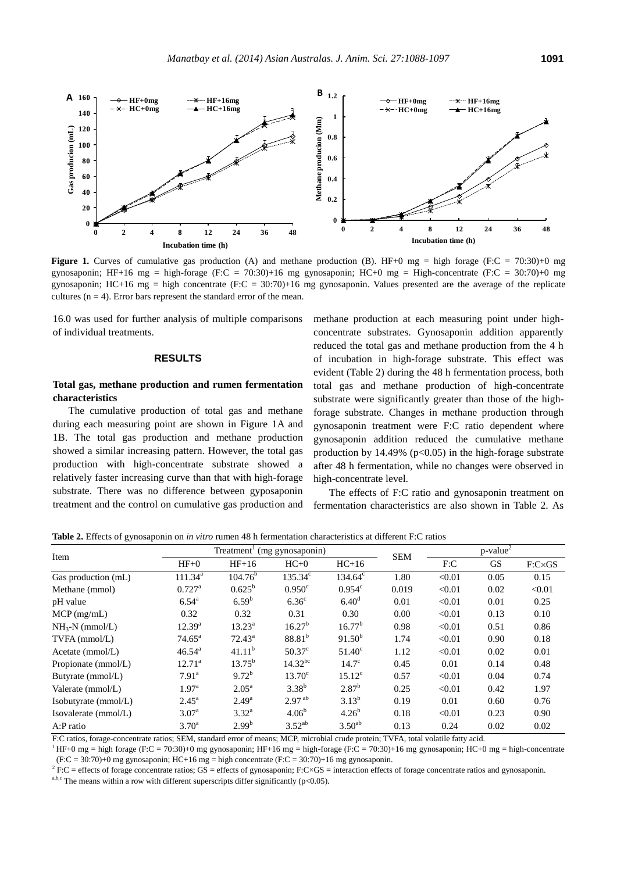

**Figure 1.** Curves of cumulative gas production (A) and methane production (B). HF+0 mg = high forage (F:C = 70:30)+0 mg gynosaponin; HF+16 mg = high-forage (F:C = 70:30)+16 mg gynosaponin; HC+0 mg = High-concentrate (F:C = 30:70)+0 mg gynosaponin; HC+16 mg = high concentrate (F:C = 30:70)+16 mg gynosaponin. Values presented are the average of the replicate cultures ( $n = 4$ ). Error bars represent the standard error of the mean.

16.0 was used for further analysis of multiple comparisons of individual treatments.

# **RESULTS**

# **Total gas, methane production and rumen fermentation characteristics**

The cumulative production of total gas and methane during each measuring point are shown in Figure 1A and 1B. The total gas production and methane production showed a similar increasing pattern. However, the total gas production with high-concentrate substrate showed a relatively faster increasing curve than that with high-forage substrate. There was no difference between gyposaponin treatment and the control on cumulative gas production and methane production at each measuring point under highconcentrate substrates. Gynosaponin addition apparently reduced the total gas and methane production from the 4 h of incubation in high-forage substrate. This effect was evident (Table 2) during the 48 h fermentation process, both total gas and methane production of high-concentrate substrate were significantly greater than those of the highforage substrate. Changes in methane production through gynosaponin treatment were F:C ratio dependent where gynosaponin addition reduced the cumulative methane production by  $14.49\%$  (p<0.05) in the high-forage substrate after 48 h fermentation, while no changes were observed in high-concentrate level.

The effects of F:C ratio and gynosaponin treatment on fermentation characteristics are also shown in Table 2. As

3.52<sup>ab</sup> 3.50<sup>ab</sup> 0.13 0.24 0.02 0.02

| <b>Table 2.</b> Effects of gynosaponin on <i>in vitro</i> rumen 48 h fermentation characteristics at different F:C ratios |                                                                |                    |                    |                  |            |                         |           |                |  |
|---------------------------------------------------------------------------------------------------------------------------|----------------------------------------------------------------|--------------------|--------------------|------------------|------------|-------------------------|-----------|----------------|--|
|                                                                                                                           | Treatment <sup><math>\frac{1}{2}</math></sup> (mg gynosaponin) |                    |                    |                  |            | $p$ -value <sup>2</sup> |           |                |  |
| Item                                                                                                                      | $HF+0$                                                         | $HF+16$            | $HC+0$             | $HC+16$          | <b>SEM</b> | F:C                     | <b>GS</b> | $F:C\times GS$ |  |
| Gas production (mL)                                                                                                       | $111.34^a$                                                     | $104.76^b$         | $135.34^c$         | $134.64^{\circ}$ | 1.80       | < 0.01                  | 0.05      | 0.15           |  |
| Methane (mmol)                                                                                                            | $0.727^{\rm a}$                                                | $0.625^{\rm b}$    | $0.950^{\circ}$    | $0.954^{\circ}$  | 0.019      | < 0.01                  | 0.02      | < 0.01         |  |
| pH value                                                                                                                  | $6.54^{\rm a}$                                                 | 6.59 <sup>b</sup>  | 6.36 <sup>c</sup>  | $6.40^{\rm d}$   | 0.01       | < 0.01                  | 0.01      | 0.25           |  |
| $MCP$ (mg/mL)                                                                                                             | 0.32                                                           | 0.32               | 0.31               | 0.30             | 0.00       | < 0.01                  | 0.13      | 0.10           |  |
| $NH3-N$ (mmol/L)                                                                                                          | $12.39^{a}$                                                    | $13.23^{\rm a}$    | $16.27^{b}$        | $16.77^b$        | 0.98       | < 0.01                  | 0.51      | 0.86           |  |
| $TVFA$ (mmol/L)                                                                                                           | $74.65^{\circ}$                                                | $72.43^{\circ}$    | $88.81^{b}$        | $91.50^{b}$      | 1.74       | < 0.01                  | 0.90      | 0.18           |  |
| Acetate (mmol/L)                                                                                                          | $46.54^{\circ}$                                                | 41.11 <sup>b</sup> | 50.37 <sup>c</sup> | $51.40^\circ$    | 1.12       | < 0.01                  | 0.02      | 0.01           |  |
| Propionate (mmol/L)                                                                                                       | $12.71^a$                                                      | $13.75^{\rm b}$    | $14.32^{bc}$       | $14.7^\circ$     | 0.45       | 0.01                    | 0.14      | 0.48           |  |
| Butyrate (mmol/L)                                                                                                         | $7.91^{\rm a}$                                                 | $9.72^b$           | $13.70^{\circ}$    | $15.12^{\circ}$  | 0.57       | < 0.01                  | 0.04      | 0.74           |  |
| Valerate (mmol/L)                                                                                                         | 1.97 <sup>a</sup>                                              | $2.05^{\rm a}$     | $3.38^{b}$         | $2.87^{b}$       | 0.25       | < 0.01                  | 0.42      | 1.97           |  |
| Isobutyrate (mmol/L)                                                                                                      | $2.45^{\rm a}$                                                 | $2.49^{\rm a}$     | $2.97^{ab}$        | $3.13^{b}$       | 0.19       | 0.01                    | 0.60      | 0.76           |  |
| Isovalerate (mmol/L)                                                                                                      | 3.07 <sup>a</sup>                                              | $3.32^{\rm a}$     | 4.06 <sup>b</sup>  | $4.26^{b}$       | 0.18       | < 0.01                  | 0.23      | 0.90           |  |

**Table 2.** Effects of gynosaponin on *in vitro* rumen 48 h fermentation characteristics at different F:C ratios

F:C ratios, forage-concentrate ratios; SEM, standard error of means; MCP, microbial crude protein; TVFA, total volatile fatty acid.

 $2.99<sup>b</sup>$ 

<sup>1</sup> HF+0 mg = high forage (F:C = 70:30)+0 mg gynosaponin; HF+16 mg = high-forage (F:C = 70:30)+16 mg gynosaponin; HC+0 mg = high-concentrate (F:C = 30:70)+0 mg gynosaponin; HC+16 mg = high concentrate (F:C = 30:70)+16 mg gynosaponin.

 $^2$  F:C = effects of forage concentrate ratios; GS = effects of gynosaponin; F:C×GS = interaction effects of forage concentrate ratios and gynosaponin.

a,b,c The means within a row with different superscripts differ significantly (p<0.05).

A:P ratio  $3.70^{\circ}$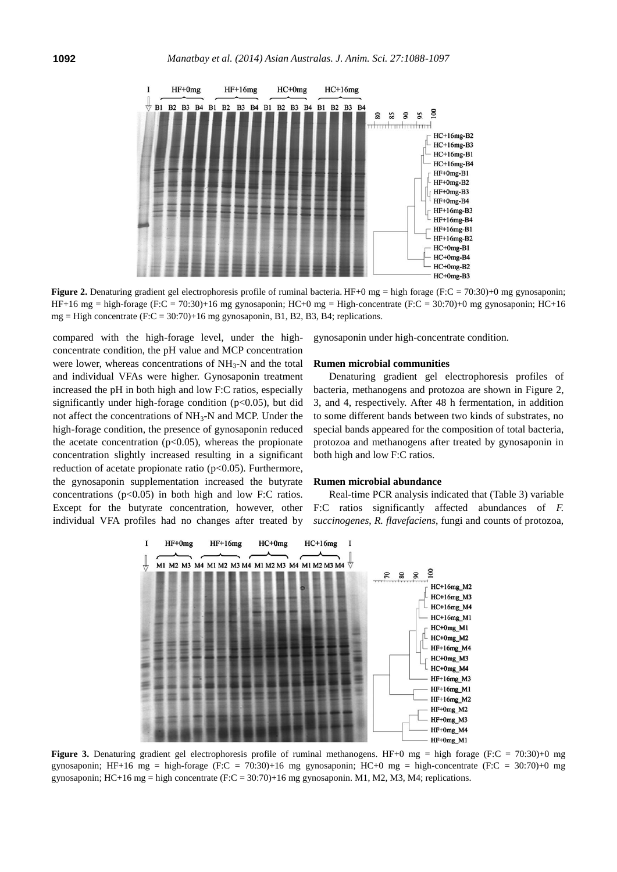

**Figure 2.** Denaturing gradient gel electrophoresis profile of ruminal bacteria. HF+0 mg = high forage (F:C = 70:30)+0 mg gynosaponin; HF+16 mg = high-forage (F:C = 70:30)+16 mg gynosaponin; HC+0 mg = High-concentrate (F:C = 30:70)+0 mg gynosaponin; HC+16 mg = High concentrate  $(F:C = 30:70) + 16$  mg gynosaponin, B1, B2, B3, B4; replications.

compared with the high-forage level, under the highconcentrate condition, the pH value and MCP concentration were lower, whereas concentrations of  $NH<sub>3</sub>-N$  and the total and individual VFAs were higher. Gynosaponin treatment increased the pH in both high and low F:C ratios, especially significantly under high-forage condition ( $p<0.05$ ), but did not affect the concentrations of NH3-N and MCP. Under the high-forage condition, the presence of gynosaponin reduced the acetate concentration ( $p<0.05$ ), whereas the propionate concentration slightly increased resulting in a significant reduction of acetate propionate ratio (p<0.05). Furthermore, the gynosaponin supplementation increased the butyrate concentrations  $(p<0.05)$  in both high and low F:C ratios. Except for the butyrate concentration, however, other individual VFA profiles had no changes after treated by gynosaponin under high-concentrate condition.

### **Rumen microbial communities**

Denaturing gradient gel electrophoresis profiles of bacteria, methanogens and protozoa are shown in Figure 2, 3, and 4, respectively. After 48 h fermentation, in addition to some different bands between two kinds of substrates, no special bands appeared for the composition of total bacteria, protozoa and methanogens after treated by gynosaponin in both high and low F:C ratios.

#### **Rumen microbial abundance**

Real-time PCR analysis indicated that (Table 3) variable F:C ratios significantly affected abundances of *F. succinogenes*, *R. flavefaciens*, fungi and counts of protozoa,



**Figure 3.** Denaturing gradient gel electrophoresis profile of ruminal methanogens. HF+0 mg = high forage (F:C = 70:30)+0 mg gynosaponin; HF+16 mg = high-forage (F:C = 70:30)+16 mg gynosaponin; HC+0 mg = high-concentrate (F:C = 30:70)+0 mg gynosaponin; HC+16 mg = high concentrate (F:C = 30:70)+16 mg gynosaponin. M1, M2, M3, M4; replications.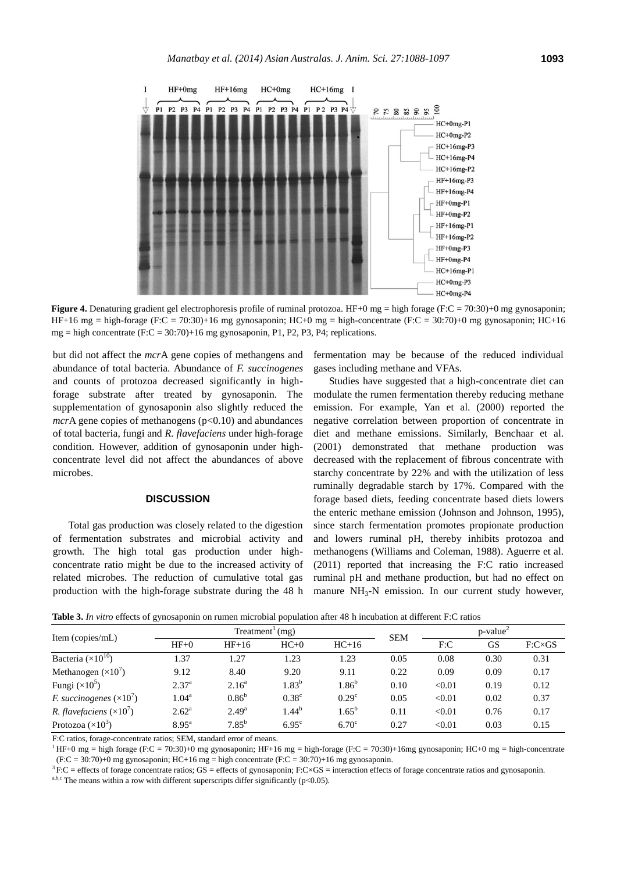

**Figure 4.** Denaturing gradient gel electrophoresis profile of ruminal protozoa. HF+0 mg = high forage (F:C = 70:30)+0 mg gynosaponin; HF+16 mg = high-forage (F:C = 70:30)+16 mg gynosaponin; HC+0 mg = high-concentrate (F:C = 30:70)+0 mg gynosaponin; HC+16 mg = high concentrate (F:C = 30:70)+16 mg gynosaponin, P1, P2, P3, P4; replications.

but did not affect the *mcr*A gene copies of methangens and abundance of total bacteria. Abundance of *F. succinogenes* and counts of protozoa decreased significantly in highforage substrate after treated by gynosaponin. The supplementation of gynosaponin also slightly reduced the *mcr*A gene copies of methanogens  $(p<0.10)$  and abundances of total bacteria, fungi and *R. flavefaciens* under high-forage condition. However, addition of gynosaponin under highconcentrate level did not affect the abundances of above microbes.

## **DISCUSSION**

Total gas production was closely related to the digestion of fermentation substrates and microbial activity and growth. The high total gas production under highconcentrate ratio might be due to the increased activity of related microbes. The reduction of cumulative total gas production with the high-forage substrate during the 48 h fermentation may be because of the reduced individual gases including methane and VFAs.

Studies have suggested that a high-concentrate diet can modulate the rumen fermentation thereby reducing methane emission. For example, Yan et al. (2000) reported the negative correlation between proportion of concentrate in diet and methane emissions. Similarly, Benchaar et al. (2001) demonstrated that methane production was decreased with the replacement of fibrous concentrate with starchy concentrate by 22% and with the utilization of less ruminally degradable starch by 17%. Compared with the forage based diets, feeding concentrate based diets lowers the enteric methane emission (Johnson and Johnson, 1995), since starch fermentation promotes propionate production and lowers ruminal pH, thereby inhibits protozoa and methanogens (Williams and Coleman, 1988). Aguerre et al. (2011) reported that increasing the F:C ratio increased ruminal pH and methane production, but had no effect on manure  $NH<sub>3</sub>-N$  emission. In our current study however,

**Table 3.** *In vitro* effects of gynosaponin on rumen microbial population after 48 h incubation at different F:C ratios

| Item (copies/mL)                       | Treatment $(mg)$  |                |                   |                   | <b>SEM</b> | $p$ -value <sup>2</sup> |      |                |
|----------------------------------------|-------------------|----------------|-------------------|-------------------|------------|-------------------------|------|----------------|
|                                        | $HF+0$            | $HF+16$        | $HC+0$            | $HC+16$           |            | F:C                     | GS   | $F:C\times GS$ |
| Bacteria ( $\times 10^{10}$ )          | 1.37              | 1.27           | 1.23              | 1.23              | 0.05       | 0.08                    | 0.30 | 0.31           |
| Methanogen $(\times 10^7)$             | 9.12              | 8.40           | 9.20              | 9.11              | 0.22       | 0.09                    | 0.09 | 0.17           |
| Fungi $(\times 10^5)$                  | 2.37 <sup>a</sup> | $2.16^{\rm a}$ | $1.83^{b}$        | 1.86 <sup>b</sup> | 0.10       | < 0.01                  | 0.19 | 0.12           |
| <i>F. succinogenes</i> $(\times 10^7)$ | $1.04^{\rm a}$    | $0.86^{b}$     | 0.38 <sup>c</sup> | 0.29 <sup>c</sup> | 0.05       | < 0.01                  | 0.02 | 0.37           |
| <i>R. flavefaciens</i> $(\times 10^7)$ | $2.62^{\rm a}$    | $2.49^{a}$     | $1.44^{b}$        | $1.65^{\rm b}$    | 0.11       | < 0.01                  | 0.76 | 0.17           |
| Protozoa $(\times 10^3)$               | $8.95^{\rm a}$    | $7.85^{b}$     | $6.95^{\circ}$    | 6.70 <sup>c</sup> | 0.27       | < 0.01                  | 0.03 | 0.15           |

F:C ratios, forage-concentrate ratios; SEM, standard error of means.

<sup>1</sup> HF+0 mg = high forage (F:C = 70:30)+0 mg gynosaponin; HF+16 mg = high-forage (F:C = 70:30)+16mg gynosaponin; HC+0 mg = high-concentrate  $(F:C = 30:70)+0$  mg gynosaponin; HC+16 mg = high concentrate  $(F:C = 30:70)+16$  mg gynosaponin.

 ${}^{3}$  F:C = effects of forage concentrate ratios; GS = effects of gynosaponin; F:C×GS = interaction effects of forage concentrate ratios and gynosaponin.

a,b,c The means within a row with different superscripts differ significantly (p<0.05).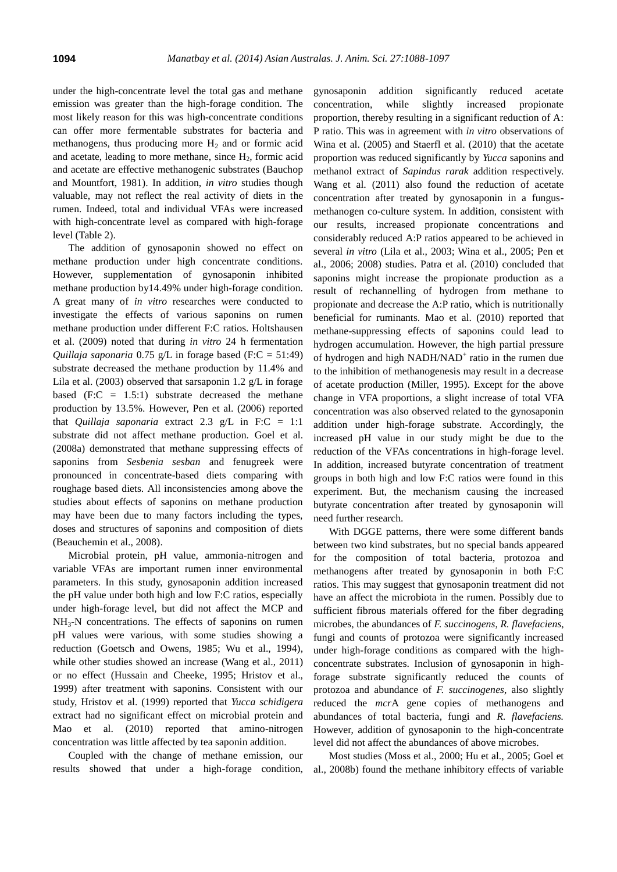under the high-concentrate level the total gas and methane emission was greater than the high-forage condition. The most likely reason for this was high-concentrate conditions can offer more fermentable substrates for bacteria and methanogens, thus producing more  $H_2$  and or formic acid and acetate, leading to more methane, since  $H<sub>2</sub>$ , formic acid and acetate are effective methanogenic substrates (Bauchop and Mountfort, 1981). In addition, *in vitro* studies though valuable, may not reflect the real activity of diets in the rumen. Indeed, total and individual VFAs were increased with high-concentrate level as compared with high-forage level (Table 2).

The addition of gynosaponin showed no effect on methane production under high concentrate conditions. However, supplementation of gynosaponin inhibited methane production by14.49% under high-forage condition. A great many of *in vitro* researches were conducted to investigate the effects of various saponins on rumen methane production under different F:C ratios. Holtshausen et al. (2009) noted that during *in vitro* 24 h fermentation *Quillaja saponaria* 0.75 g/L in forage based (F:C = 51:49) substrate decreased the methane production by 11.4% and Lila et al. (2003) observed that sarsaponin 1.2  $g/L$  in forage based  $(F:C = 1.5:1)$  substrate decreased the methane production by 13.5%. However, Pen et al. (2006) reported that *Quillaja saponaria* extract 2.3 g/L in F:C = 1:1 substrate did not affect methane production. Goel et al. (2008a) demonstrated that methane suppressing effects of saponins from *Sesbenia sesban* and fenugreek were pronounced in concentrate-based diets comparing with roughage based diets. All inconsistencies among above the studies about effects of saponins on methane production may have been due to many factors including the types, doses and structures of saponins and composition of diets (Beauchemin et al., 2008).

Microbial protein, pH value, ammonia-nitrogen and variable VFAs are important rumen inner environmental parameters. In this study, gynosaponin addition increased the pH value under both high and low F:C ratios, especially under high-forage level, but did not affect the MCP and NH<sub>3</sub>-N concentrations. The effects of saponins on rumen pH values were various, with some studies showing a reduction (Goetsch and Owens, 1985; Wu et al., 1994), while other studies showed an increase (Wang et al., 2011) or no effect (Hussain and Cheeke, 1995; Hristov et al., 1999) after treatment with saponins. Consistent with our study, Hristov et al. (1999) reported that *Yucca schidigera* extract had no significant effect on microbial protein and Mao et al. (2010) reported that amino-nitrogen concentration was little affected by tea saponin addition.

Coupled with the change of methane emission, our results showed that under a high-forage condition, gynosaponin addition significantly reduced acetate concentration, while slightly increased propionate proportion, thereby resulting in a significant reduction of A: P ratio. This was in agreement with *in vitro* observations of Wina et al. (2005) and Staerfl et al. (2010) that the acetate proportion was reduced significantly by *Yucca* saponins and methanol extract of *Sapindus rarak* addition respectively. Wang et al. (2011) also found the reduction of acetate concentration after treated by gynosaponin in a fungusmethanogen co-culture system. In addition, consistent with our results, increased propionate concentrations and considerably reduced A:P ratios appeared to be achieved in several *in vitro* (Lila et al., 2003; Wina et al., 2005; Pen et al., 2006; 2008) studies. Patra et al. (2010) concluded that saponins might increase the propionate production as a result of rechannelling of hydrogen from methane to propionate and decrease the A:P ratio, which is nutritionally beneficial for ruminants. Mao et al. (2010) reported that methane-suppressing effects of saponins could lead to hydrogen accumulation. However, the high partial pressure of hydrogen and high NADH/NAD<sup>+</sup> ratio in the rumen due to the inhibition of methanogenesis may result in a decrease of acetate production (Miller, 1995). Except for the above change in VFA proportions, a slight increase of total VFA concentration was also observed related to the gynosaponin addition under high-forage substrate. Accordingly, the increased pH value in our study might be due to the reduction of the VFAs concentrations in high-forage level. In addition, increased butyrate concentration of treatment groups in both high and low F:C ratios were found in this experiment. But, the mechanism causing the increased butyrate concentration after treated by gynosaponin will need further research.

With DGGE patterns, there were some different bands between two kind substrates, but no special bands appeared for the composition of total bacteria, protozoa and methanogens after treated by gynosaponin in both F:C ratios. This may suggest that gynosaponin treatment did not have an affect the microbiota in the rumen. Possibly due to sufficient fibrous materials offered for the fiber degrading microbes, the abundances of *F. succinogens*, *R. flavefaciens*, fungi and counts of protozoa were significantly increased under high-forage conditions as compared with the highconcentrate substrates. Inclusion of gynosaponin in highforage substrate significantly reduced the counts of protozoa and abundance of *F. succinogenes*, also slightly reduced the *mcr*A gene copies of methanogens and abundances of total bacteria, fungi and *R. flavefaciens.* However, addition of gynosaponin to the high-concentrate level did not affect the abundances of above microbes.

Most studies (Moss et al., 2000; Hu et al., 2005; Goel et al., 2008b) found the methane inhibitory effects of variable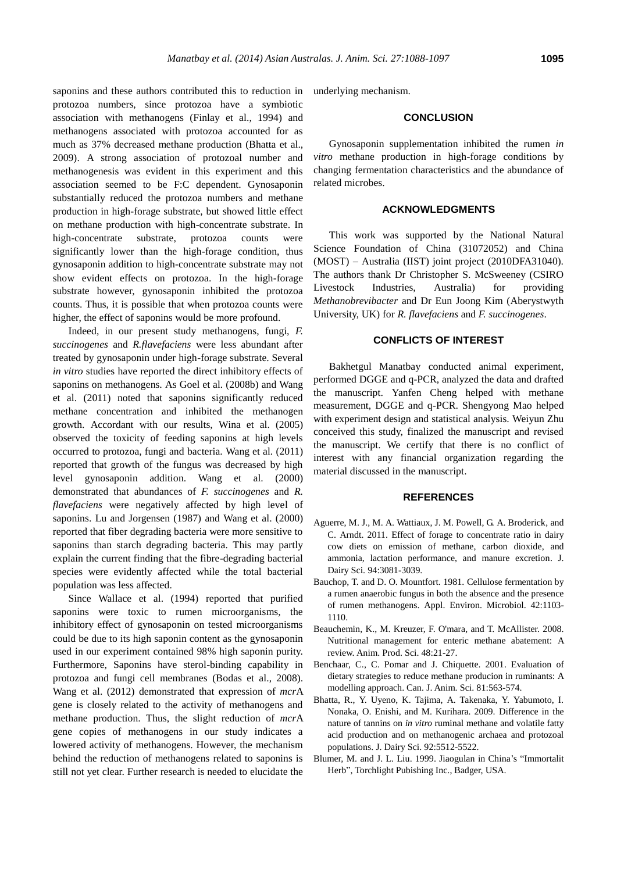saponins and these authors contributed this to reduction in protozoa numbers, since protozoa have a symbiotic association with methanogens (Finlay et al., 1994) and methanogens associated with protozoa accounted for as much as 37% decreased methane production (Bhatta et al., 2009). A strong association of protozoal number and methanogenesis was evident in this experiment and this association seemed to be F:C dependent. Gynosaponin substantially reduced the protozoa numbers and methane production in high-forage substrate, but showed little effect on methane production with high-concentrate substrate. In high-concentrate substrate, protozoa counts were significantly lower than the high-forage condition, thus gynosaponin addition to high-concentrate substrate may not show evident effects on protozoa. In the high-forage substrate however, gynosaponin inhibited the protozoa counts. Thus, it is possible that when protozoa counts were higher, the effect of saponins would be more profound.

Indeed, in our present study methanogens, fungi, *F. succinogenes* and *R.flavefaciens* were less abundant after treated by gynosaponin under high-forage substrate. Several *in vitro* studies have reported the direct inhibitory effects of saponins on methanogens. As Goel et al. (2008b) and Wang et al. (2011) noted that saponins significantly reduced methane concentration and inhibited the methanogen growth. Accordant with our results, Wina et al. (2005) observed the toxicity of feeding saponins at high levels occurred to protozoa, fungi and bacteria. Wang et al. (2011) reported that growth of the fungus was decreased by high level gynosaponin addition. Wang et al. (2000) demonstrated that abundances of *F. succinogenes* and *R. flavefaciens* were negatively affected by high level of saponins. Lu and Jorgensen (1987) and Wang et al. (2000) reported that fiber degrading bacteria were more sensitive to saponins than starch degrading bacteria. This may partly explain the current finding that the fibre-degrading bacterial species were evidently affected while the total bacterial population was less affected.

Since Wallace et al. (1994) reported that purified saponins were toxic to rumen microorganisms, the inhibitory effect of gynosaponin on tested microorganisms could be due to its high saponin content as the gynosaponin used in our experiment contained 98% high saponin purity. Furthermore, Saponins have sterol-binding capability in protozoa and fungi cell membranes (Bodas et al., 2008). Wang et al. (2012) demonstrated that expression of *mcr*A gene is closely related to the activity of methanogens and methane production. Thus, the slight reduction of *mcr*A gene copies of methanogens in our study indicates a lowered activity of methanogens. However, the mechanism behind the reduction of methanogens related to saponins is still not yet clear. Further research is needed to elucidate the

underlying mechanism.

## **CONCLUSION**

Gynosaponin supplementation inhibited the rumen *in vitro* methane production in high-forage conditions by changing fermentation characteristics and the abundance of related microbes.

## **ACKNOWLEDGMENTS**

This work was supported by the National Natural Science Foundation of China (31072052) and China (MOST) – Australia (IIST) joint project (2010DFA31040). The authors thank Dr Christopher S. McSweeney (CSIRO Livestock Industries, Australia) for providing *Methanobrevibacter* and Dr Eun Joong Kim (Aberystwyth University, UK) for *R. flavefaciens* and *F. succinogenes*.

## **CONFLICTS OF INTEREST**

Bakhetgul Manatbay conducted animal experiment, performed DGGE and q-PCR, analyzed the data and drafted the manuscript. Yanfen Cheng helped with methane measurement, DGGE and q-PCR. Shengyong Mao helped with experiment design and statistical analysis. Weiyun Zhu conceived this study, finalized the manuscript and revised the manuscript. We certify that there is no conflict of interest with any financial organization regarding the material discussed in the manuscript.

### **REFERENCES**

- Aguerre, M. J., M. A. Wattiaux, J. M. Powell, G. A. Broderick, and C. Arndt. 2011. [Effect of forage to concentrate ratio in dairy](http://www.sciencedirect.com/science/article/pii/S0022030211002955)  [cow diets on emission of methane, carbon dioxide,](http://www.sciencedirect.com/science/article/pii/S0022030211002955) and [ammonia, lactation performance, and manure excretion.](http://www.sciencedirect.com/science/article/pii/S0022030211002955) J. Dairy Sci. 94:3081-3039.
- Bauchop, T. and D. O. Mountfort. 1981[. Cellulose fermentation by](http://aem.asm.org/content/42/6/1103.short)  [a rumen anaerobic fungus in both the absence and the presence](http://aem.asm.org/content/42/6/1103.short)  [of rumen methanogens.](http://aem.asm.org/content/42/6/1103.short) Appl. Environ. Microbiol. 42:1103- 1110.
- Beauchemin, K., M. Kreuzer, F. O'mara, and T. McAllister. 2008. Nutritional management for enteric methane abatement: A review. Anim. Prod. Sci. 48:21-27.
- Benchaar, C., C. Pomar and J. Chiquette. 2001. Evaluation of dietary strategies to reduce methane producion in ruminants: A modelling approach. Can. J. Anim. Sci. 81:563-574.
- Bhatta, R., Y. Uyeno, K. Tajima, A. Takenaka, Y. Yabumoto, I. Nonaka, O. Enishi, and M. Kurihara. 2009. [Difference in the](http://www.sciencedirect.com/science/article/pii/S0022030209708860)  nature of tannins on *in vitro* [ruminal methane and volatile fatty](http://www.sciencedirect.com/science/article/pii/S0022030209708860)  [acid production and on methanogenic archaea and protozoal](http://www.sciencedirect.com/science/article/pii/S0022030209708860)  [populations](http://www.sciencedirect.com/science/article/pii/S0022030209708860). J. Dairy Sci. 92:5512-5522.
- Blumer, M. and J. L. Liu. 1999. Jiaogulan in China's "Immortalit Herb", Torchlight Pubishing Inc., Badger, USA.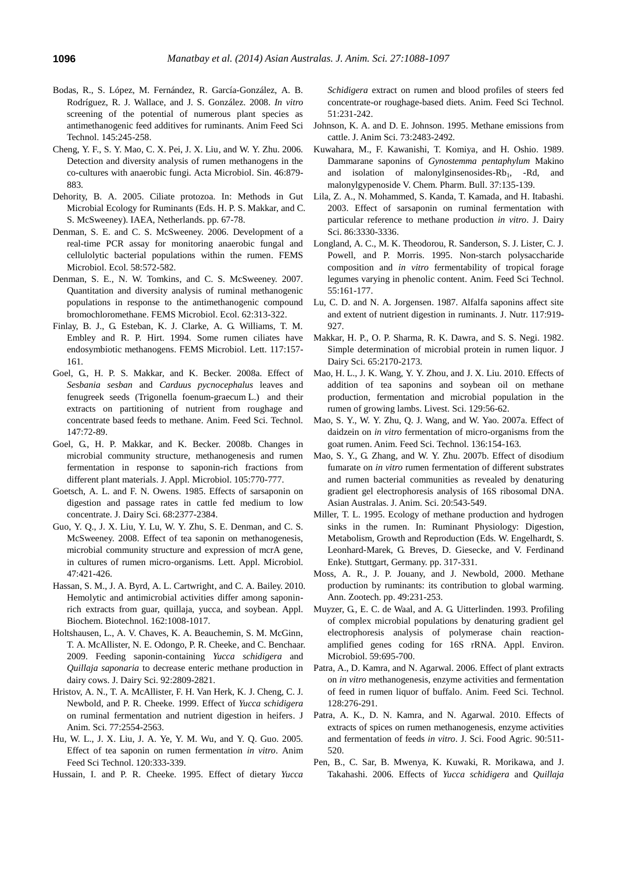- Bodas, R., S. López, M. Fernández, R. García-González, A. B. Rodríguez, R. J. Wallace, and J. S. González. 2008. *[In vitro](http://www.sciencedirect.com/science/article/pii/S0377840107002763)* [screening of the potential of numerous plant species as](http://www.sciencedirect.com/science/article/pii/S0377840107002763)  [antimethanogenic feed additives for ruminants.](http://www.sciencedirect.com/science/article/pii/S0377840107002763) Anim Feed Sci Technol. 145:245-258.
- Cheng, Y. F., S. Y. Mao, C. X. Pei, J. X. Liu, and W. Y. Zhu. 2006. Detection and diversity analysis of rumen methanogens in the co-cultures with anaerobic fungi. Acta Microbiol. Sin. 46:879- 883.
- Dehority, B. A. 2005. Ciliate protozoa. In: Methods in Gut Microbial Ecology for Ruminants (Eds. H. P. S. Makkar, and C. S. McSweeney). IAEA, Netherlands. pp. 67-78.
- Denman, S. E. and C. S. McSweeney. 2006. [Development of a](http://onlinelibrary.wiley.com/doi/10.1111/j.1574-6941.2006.00190.x/full)  [real-time PCR assay for monitoring anaerobic fungal and](http://onlinelibrary.wiley.com/doi/10.1111/j.1574-6941.2006.00190.x/full)  [cellulolytic bacterial populations within the rumen.](http://onlinelibrary.wiley.com/doi/10.1111/j.1574-6941.2006.00190.x/full) FEMS Microbiol. Ecol. 58:572-582.
- Denman, S. E., N. W. Tomkins, and C. S. McSweeney. 2007. [Quantitation and diversity analysis of ruminal methanogenic](http://onlinelibrary.wiley.com/doi/10.1111/j.1574-6941.2007.00394.x/full)  [populations in response to the antimethanogenic compound](http://onlinelibrary.wiley.com/doi/10.1111/j.1574-6941.2007.00394.x/full)  [bromochloromethane.](http://onlinelibrary.wiley.com/doi/10.1111/j.1574-6941.2007.00394.x/full) FEMS Microbiol. Ecol. 62:313-322.
- Finlay, B. J., G. Esteban, K. J. Clarke, A. G. Williams, T. M. Embley and R. P. Hirt. 1994. [Some rumen ciliates have](http://www.sciencedirect.com/science/article/pii/0378109794901880)  [endosymbiotic methanogens.](http://www.sciencedirect.com/science/article/pii/0378109794901880) FEMS Microbiol. Lett. 117:157- 161.
- Goel, G., H. P. S. Makkar, and K. Becker. 2008a. [Effect of](http://www.sciencedirect.com/science/article/pii/S0377840107003586)  *Sesbania sesban* and *[Carduus pycnocephalus](http://www.sciencedirect.com/science/article/pii/S0377840107003586)* leaves and [fenugreek seeds \(Trigonella](http://www.sciencedirect.com/science/article/pii/S0377840107003586) foenum-graecum L.) and their [extracts on partitioning of nutrient from roughage and](http://www.sciencedirect.com/science/article/pii/S0377840107003586)  [concentrate based feeds to methane.](http://www.sciencedirect.com/science/article/pii/S0377840107003586) Anim. Feed Sci. Technol. 147:72-89.
- Goel, G., H. P. Makkar, and K. Becker. 2008b. [Changes in](http://onlinelibrary.wiley.com/doi/10.1111/j.1365-2672.2008.03818.x/full)  [microbial community structure, methanogenesis and rumen](http://onlinelibrary.wiley.com/doi/10.1111/j.1365-2672.2008.03818.x/full)  [fermentation in response to saponin-rich fractions from](http://onlinelibrary.wiley.com/doi/10.1111/j.1365-2672.2008.03818.x/full)  [different plant materials.](http://onlinelibrary.wiley.com/doi/10.1111/j.1365-2672.2008.03818.x/full) J. Appl. Microbiol. 105:770-777.
- Goetsch, A. L. and F. N. Owens. 1985. Effects of sarsaponin on digestion and passage rates in cattle fed medium to low concentrate. J. Dairy Sci. 68:2377-2384.
- Guo, Y. Q., J. X. Liu, Y. Lu, W. Y. Zhu, S. E. Denman, and C. S. McSweeney. 2008. [Effect of tea saponin on methanogenesis,](http://onlinelibrary.wiley.com/doi/10.1111/j.1472-765X.2008.02459.x/full)  [microbial community structure and expression of mcrA gene,](http://onlinelibrary.wiley.com/doi/10.1111/j.1472-765X.2008.02459.x/full)  [in cultures of rumen micro](http://onlinelibrary.wiley.com/doi/10.1111/j.1472-765X.2008.02459.x/full)‐organisms. Lett. Appl. Microbiol. 47:421-426.
- Hassan, S. M., J. A. Byrd, A. L. Cartwright, and C. A. Bailey. 2010. [Hemolytic and antimicrobial activities differ among saponin](http://link.springer.com/article/10.1007/s12010-009-8838-y)rich [extracts from guar, quillaja, yucca, and soybean.](http://link.springer.com/article/10.1007/s12010-009-8838-y) Appl. Biochem. Biotechnol. 162:1008-1017.
- Holtshausen, L., A. V. Chaves, K. A. Beauchemin, S. M. McGinn, T. A. McAllister, N. E. Odongo, P. R. Cheeke, and C. Benchaar. 2009. [Feeding saponin-containing](http://www.sciencedirect.com/science/article/pii/S0022030209705983) *Yucca schidigera* and *Quillaja saponaria* [to decrease enteric methane production in](http://www.sciencedirect.com/science/article/pii/S0022030209705983)  [dairy cows.](http://www.sciencedirect.com/science/article/pii/S0022030209705983) J. Dairy Sci. 92:2809-2821.
- Hristov, A. N., T. A. McAllister, F. H. Van Herk, K. J. Cheng, C. J. Newbold, and P. R. Cheeke. 1999. Effect of *[Yucca schidigera](http://www.journalofanimalscience.org/content/77/9/2554.short)* [on ruminal fermentation and nutrient digestion in heifers.](http://www.journalofanimalscience.org/content/77/9/2554.short) J Anim. Sci. 77:2554-2563.
- Hu, W. L., J. X. Liu, J. A. Ye, Y. M. Wu, and Y. Q. Guo. 2005. [Effect of tea saponin on rumen fermentation](http://www.sciencedirect.com/science/article/pii/S0377840105000891) *in vitro*. Anim Feed Sci Technol. 120:333-339.
- Hussain, I. and P. R. Cheeke. 1995. [Effect of dietary](http://www.sciencedirect.com/science/article/pii/0377840194006945) *Yucca*

*Schidigera* [extract on rumen and blood profiles of steers fed](http://www.sciencedirect.com/science/article/pii/0377840194006945)  [concentrate-or roughage-based diets.](http://www.sciencedirect.com/science/article/pii/0377840194006945) Anim. Feed Sci Technol. 51:231-242.

- Johnson, K. A. and D. E. Johnson. 1995. [Methane emissions from](http://www.journalofanimalscience.org/content/73/8/2483.short)  [cattle.](http://www.journalofanimalscience.org/content/73/8/2483.short) J. Anim Sci. 73:2483-2492.
- Kuwahara, M., F. Kawanishi, T. Komiya, and H. Oshio. 1989. Dammarane saponins of *[Gynostemma pentaphylum](http://ci.nii.ac.jp/els/110003627249.pdf?id=ART0004133931&type=pdf&lang=en&host=cinii&order_no=&ppv_type=0&lang_sw=&no=1397610566&cp=)* Makino and isolation of malonylginsenosides- $Rb_1$ , -Rd, and [malonylgypenoside V.](http://ci.nii.ac.jp/els/110003627249.pdf?id=ART0004133931&type=pdf&lang=en&host=cinii&order_no=&ppv_type=0&lang_sw=&no=1397610566&cp=) Chem. Pharm. Bull. 37:135-139.
- Lila, Z. A., N. Mohammed, S. Kanda, T. Kamada, and H. Itabashi. 2003. [Effect of sarsaponin on ruminal fermentation with](http://www.sciencedirect.com/science/article/pii/S0022030203739356)  [particular reference to methane production](http://www.sciencedirect.com/science/article/pii/S0022030203739356) *in vitro*. J. Dairy Sci. 86:3330-3336.
- Longland, A. C., M. K. Theodorou, R. Sanderson, S. J. Lister, C. J. Powell, and P. Morris. 1995. [Non-starch polysaccharide](http://www.sciencedirect.com/science/article/pii/037784019500808Z)  composition and *in vitro* [fermentability of tropical forage](http://www.sciencedirect.com/science/article/pii/037784019500808Z)  [legumes varying in phenolic content.](http://www.sciencedirect.com/science/article/pii/037784019500808Z) Anim. Feed Sci Technol. 55:161-177.
- Lu, C. D. and N. A. Jorgensen. 1987. Alfalfa saponins affect site and extent of nutrient digestion in ruminants. J. Nutr. 117:919- 927.
- Makkar, H. P., O. P. Sharma, R. K. Dawra, and S. S. Negi. 1982. [Simple determination of microbial protein in rumen liquor.](http://www.sciencedirect.com/science/article/pii/S0022030282824776) J Dairy Sci. 65:2170-2173.
- Mao, H. L., J. K. Wang, Y. Y. Zhou, and J. X. Liu. 2010. [Effects of](http://www.sciencedirect.com/science/article/pii/S1871141310000028)  [addition of tea saponins and soybean oil on methane](http://www.sciencedirect.com/science/article/pii/S1871141310000028)  [production, fermentation and microbial population in the](http://www.sciencedirect.com/science/article/pii/S1871141310000028)  [rumen of growing lambs.](http://www.sciencedirect.com/science/article/pii/S1871141310000028) Livest. Sci. 129:56-62.
- Mao, S. Y., W. Y. Zhu, Q. J. Wang, and W. Yao. 2007a. [Effect of](http://www.sciencedirect.com/science/article/pii/S0377840106003853)  daidzein on *in vitro* [fermentation of micro-organisms from the](http://www.sciencedirect.com/science/article/pii/S0377840106003853)  [goat rumen.](http://www.sciencedirect.com/science/article/pii/S0377840106003853) Anim. Feed Sci. Technol. 136:154-163.
- Mao, S. Y., G. Zhang, and W. Y. Zhu. 2007b. [Effect of disodium](http://www.ajas.info/editor/manuscript/upload/20-75.pdf)  fumarate on *in vitro* [rumen fermentation of different substrates](http://www.ajas.info/editor/manuscript/upload/20-75.pdf)  [and rumen bacterial communities as revealed by denaturing](http://www.ajas.info/editor/manuscript/upload/20-75.pdf)  [gradient gel electrophoresis analysis of 16S ribosomal DNA.](http://www.ajas.info/editor/manuscript/upload/20-75.pdf) Asian Australas. J. Anim. Sci. 20:543-549.
- Miller, T. L. 1995. Ecology of methane production and hydrogen sinks in the rumen. In: Ruminant Physiology: Digestion, Metabolism, Growth and Reproduction (Eds. W. Engelhardt, S. Leonhard-Marek, G. Breves, D. Giesecke, and V. Ferdinand Enke). Stuttgart, Germany. pp. 317-331.
- Moss, A. R., J. P. Jouany, and J. Newbold, 2000. Methane production by ruminants: its contribution to global warming. Ann. Zootech. pp. 49:231-253.
- Muyzer, G., E. C. de Waal, and A. G. Uitterlinden. 1993. [Profiling](http://aem.asm.org/content/59/3/695.short)  [of complex microbial populations by denaturing gradient gel](http://aem.asm.org/content/59/3/695.short)  [electrophoresis analysis of polymerase chain reaction](http://aem.asm.org/content/59/3/695.short)[amplified genes coding for 16S rRNA.](http://aem.asm.org/content/59/3/695.short) Appl. Environ. Microbiol. 59:695-700.
- Patra, A., D. Kamra, and N. Agarwal. 2006[. Effect of plant extracts](http://www.sciencedirect.com/science/article/pii/S0377840105004001)  on *in vitro* [methanogenesis, enzyme activities and fermentation](http://www.sciencedirect.com/science/article/pii/S0377840105004001)  [of feed in rumen liquor of buffalo.](http://www.sciencedirect.com/science/article/pii/S0377840105004001) Anim. Feed Sci. Technol. 128:276-291.
- Patra, A. K., D. N. Kamra, and N. Agarwal. 2010. [Effects of](http://onlinelibrary.wiley.com/doi/10.1002/jsfa.3849/abstract?deniedAccessCustomisedMessage=&userIsAuthenticated=false)  [extracts of spices on rumen methanogenesis, enzyme activities](http://onlinelibrary.wiley.com/doi/10.1002/jsfa.3849/abstract?deniedAccessCustomisedMessage=&userIsAuthenticated=false)  [and fermentation of feeds](http://onlinelibrary.wiley.com/doi/10.1002/jsfa.3849/abstract?deniedAccessCustomisedMessage=&userIsAuthenticated=false) *in vitro*. J. Sci. Food Agric. 90:511- 520.
- Pen, B., C. Sar, B. Mwenya, K. Kuwaki, R. Morikawa, and J. Takahashi. 2006. Effects of *[Yucca schidigera](http://www.sciencedirect.com/science/article/pii/S0377840106000101)* and *Quillaja*